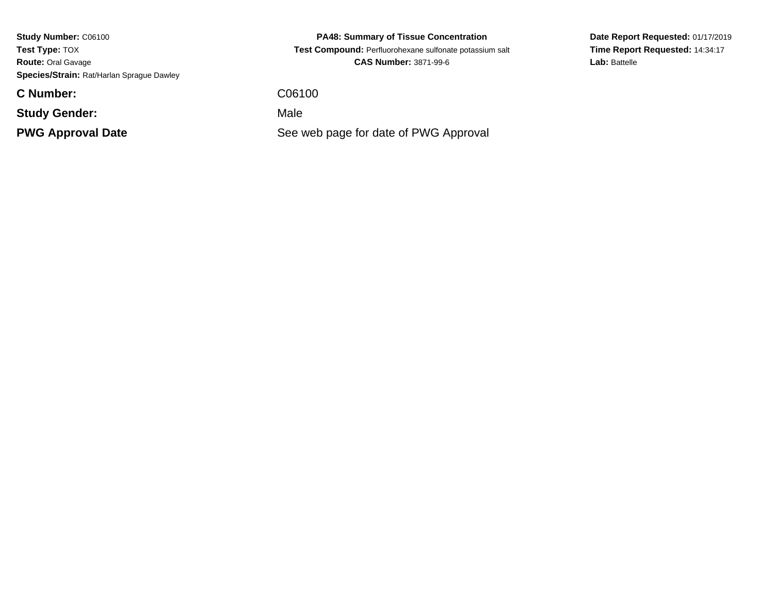**Study Number:** C06100**Test Type:** TOX **Route:** Oral Gavage**Species/Strain:** Rat/Harlan Sprague Dawley

**C Number:**

**Study Gender:**

**PWG Approval Date**

**PA48: Summary of Tissue Concentration Test Compound:** Perfluorohexane sulfonate potassium salt**CAS Number:** 3871-99-6

C06100

: Contract in the Male

See web page for date of PWG Approval

**Date Report Requested:** 01/17/2019**Time Report Requested:** 14:34:17Lab: Battelle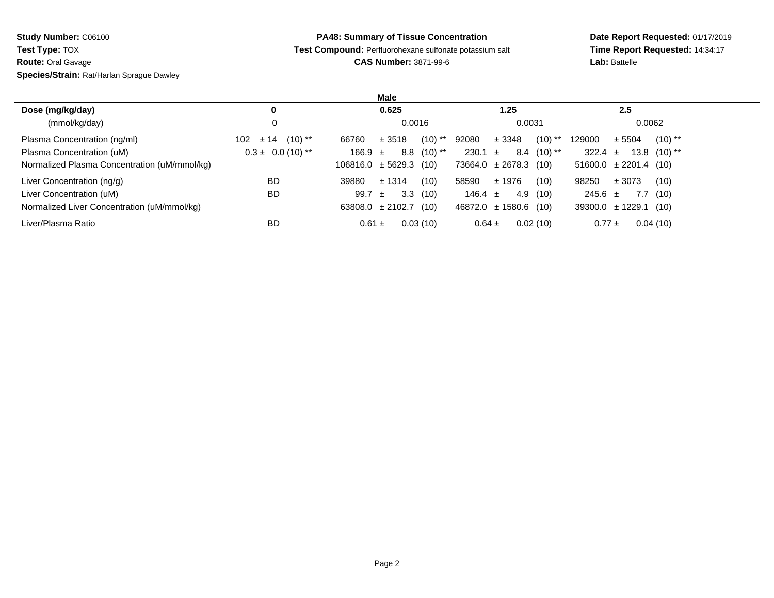**Study Number:** C06100

**Test Type:** TOX

**Route:** Oral Gavage

**Species/Strain:** Rat/Harlan Sprague Dawley

**PA48: Summary of Tissue Concentration**

**Test Compound:** Perfluorohexane sulfonate potassium salt

**CAS Number:** 3871-99-6

**Date Report Requested:** 01/17/2019 **Time Report Requested:** 14:34:17**Lab:** Battelle

|                                              |                          | Male                            |                                 |                                 |  |
|----------------------------------------------|--------------------------|---------------------------------|---------------------------------|---------------------------------|--|
| Dose (mg/kg/day)                             | 0                        | 0.625                           | 1.25                            | 2.5                             |  |
| (mmol/kg/day)                                | 0                        | 0.0016                          | 0.0031                          | 0.0062                          |  |
| Plasma Concentration (ng/ml)                 | $(10)$ **<br>± 14<br>102 | $(10)$ **<br>± 3518<br>66760    | $(10)$ **<br>92080<br>± 3348    | $(10)$ **<br>129000<br>± 5504   |  |
| Plasma Concentration (uM)                    | $0.3 \pm 0.0$ (10) **    | $(10)$ **<br>8.8<br>$166.9 \pm$ | 230.1<br>$8.4$ (10) **<br>$\pm$ | 322.4 $\pm$<br>$13.8$ $(10)$ ** |  |
| Normalized Plasma Concentration (uM/mmol/kg) |                          | $106816.0 \pm 5629.3$<br>(10)   | $73664.0 \pm 2678.3$ (10)       | $51600.0 \pm 2201.4$ (10)       |  |
| Liver Concentration (ng/g)                   | <b>BD</b>                | ± 1314<br>(10)<br>39880         | 58590<br>± 1976<br>(10)         | 98250<br>± 3073<br>(10)         |  |
| Liver Concentration (uM)                     | <b>BD</b>                | 3.3<br>(10)<br>99.7<br>$\pm$    | 146.4 $\pm$<br>4.9(10)          | $245.6 \pm$<br>7.7<br>(10)      |  |
| Normalized Liver Concentration (uM/mmol/kg)  |                          | (10)<br>63808.0 $\pm$ 2102.7    | $46872.0 \pm 1580.6$ (10)       | $39300.0 \pm 1229.1$ (10)       |  |
| Liver/Plasma Ratio                           | <b>BD</b>                | 0.03(10)<br>$0.61 \pm$          | 0.02(10)<br>$0.64 \pm$          | 0.04(10)<br>$0.77 \pm$          |  |
|                                              |                          |                                 |                                 |                                 |  |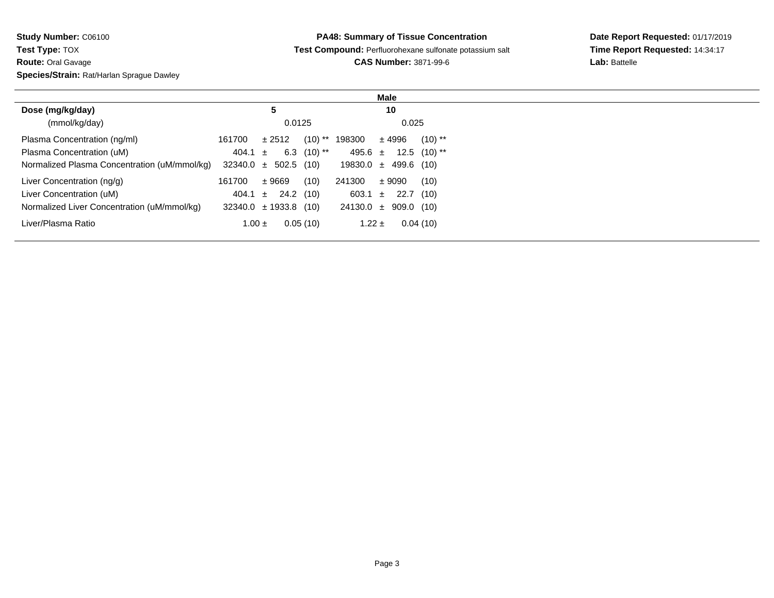**Study Number:** C06100**Test Type:** TOX **Route:** Oral Gavage**Species/Strain:** Rat/Harlan Sprague Dawley

|                                              |                               | Male                            |
|----------------------------------------------|-------------------------------|---------------------------------|
| Dose (mg/kg/day)                             | 5                             | 10                              |
| (mmol/kg/day)                                | 0.0125                        | 0.025                           |
| Plasma Concentration (ng/ml)                 | $(10)$ **<br>161700<br>± 2512 | 198300<br>$(10)$ **<br>$±$ 4996 |
| Plasma Concentration (uM)                    | 6.3 $(10)$ **<br>404.1 $\pm$  | 495.6 $\pm$<br>$12.5$ $(10)$ ** |
| Normalized Plasma Concentration (uM/mmol/kg) | $32340.0 \pm 502.5$ (10)      | $19830.0 \pm 499.6$ (10)        |
| Liver Concentration (ng/g)                   | ±9669<br>(10)<br>161700       | 241300<br>± 9090<br>(10)        |
| Liver Concentration (uM)                     | 24.2 (10)<br>404.1 $\pm$      | $603.1 \pm 22.7$<br>(10)        |
| Normalized Liver Concentration (uM/mmol/kg)  | $32340.0 \pm 1933.8$ (10)     | $24130.0 \pm 909.0$ (10)        |
| Liver/Plasma Ratio                           | 0.05(10)<br>$1.00 \pm$        | 0.04(10)<br>1.22 $\pm$          |